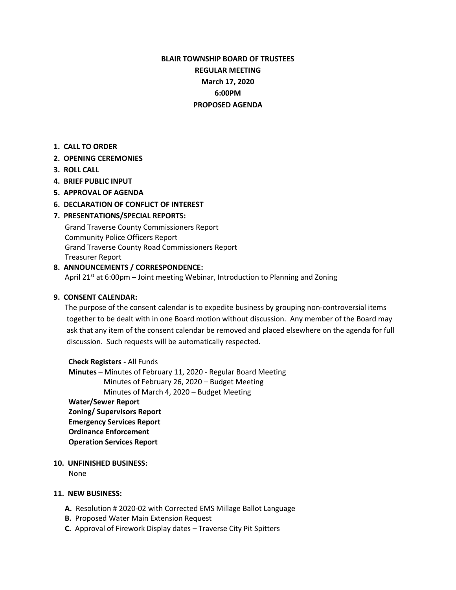# **BLAIR TOWNSHIP BOARD OF TRUSTEES REGULAR MEETING March 17, 2020 6:00PM PROPOSED AGENDA**

**1. CALL TO ORDER**

### **2. OPENING CEREMONIES**

- **3. ROLL CALL**
- **4. BRIEF PUBLIC INPUT**
- **5. APPROVAL OF AGENDA**
- **6. DECLARATION OF CONFLICT OF INTEREST**

## **7. PRESENTATIONS/SPECIAL REPORTS:**

Grand Traverse County Commissioners Report Community Police Officers Report Grand Traverse County Road Commissioners Report Treasurer Report

#### **8. ANNOUNCEMENTS / CORRESPONDENCE:**

April 21 $st$  at 6:00pm – Joint meeting Webinar, Introduction to Planning and Zoning

#### **9. CONSENT CALENDAR:**

The purpose of the consent calendar is to expedite business by grouping non-controversial items together to be dealt with in one Board motion without discussion. Any member of the Board may ask that any item of the consent calendar be removed and placed elsewhere on the agenda for full discussion. Such requests will be automatically respected.

 **Check Registers -** All Funds **Minutes –** Minutes of February 11, 2020 - Regular Board Meeting Minutes of February 26, 2020 – Budget Meeting Minutes of March 4, 2020 – Budget Meeting **Water/Sewer Report Zoning/ Supervisors Report Emergency Services Report Ordinance Enforcement Operation Services Report**

## **10. UNFINISHED BUSINESS:**

None

#### **11. NEW BUSINESS:**

- **A.** Resolution # 2020-02 with Corrected EMS Millage Ballot Language
- **B.** Proposed Water Main Extension Request
- **C.** Approval of Firework Display dates Traverse City Pit Spitters